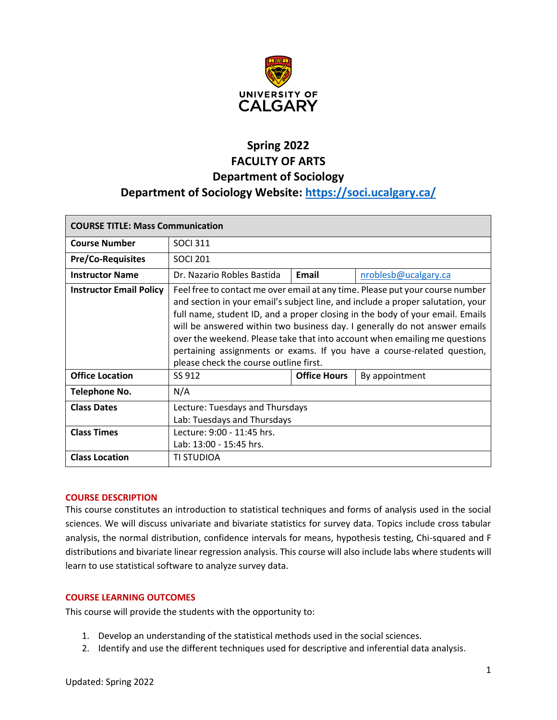

# **Spring 2022 FACULTY OF ARTS Department of Sociology Department of Sociology Website:<https://soci.ucalgary.ca/>**

| <b>COURSE TITLE: Mass Communication</b> |                                                                                                                                                                                                                                                                                                                                                                                                                                                                                                                                    |                     |                      |  |
|-----------------------------------------|------------------------------------------------------------------------------------------------------------------------------------------------------------------------------------------------------------------------------------------------------------------------------------------------------------------------------------------------------------------------------------------------------------------------------------------------------------------------------------------------------------------------------------|---------------------|----------------------|--|
| <b>Course Number</b>                    | <b>SOCI 311</b>                                                                                                                                                                                                                                                                                                                                                                                                                                                                                                                    |                     |                      |  |
| <b>Pre/Co-Requisites</b>                | <b>SOCI 201</b>                                                                                                                                                                                                                                                                                                                                                                                                                                                                                                                    |                     |                      |  |
| <b>Instructor Name</b>                  | Dr. Nazario Robles Bastida                                                                                                                                                                                                                                                                                                                                                                                                                                                                                                         | Email               | nroblesb@ucalgary.ca |  |
| <b>Instructor Email Policy</b>          | Feel free to contact me over email at any time. Please put your course number<br>and section in your email's subject line, and include a proper salutation, your<br>full name, student ID, and a proper closing in the body of your email. Emails<br>will be answered within two business day. I generally do not answer emails<br>over the weekend. Please take that into account when emailing me questions<br>pertaining assignments or exams. If you have a course-related question,<br>please check the course outline first. |                     |                      |  |
| <b>Office Location</b>                  | SS 912                                                                                                                                                                                                                                                                                                                                                                                                                                                                                                                             | <b>Office Hours</b> | By appointment       |  |
| Telephone No.                           | N/A                                                                                                                                                                                                                                                                                                                                                                                                                                                                                                                                |                     |                      |  |
| <b>Class Dates</b>                      | Lecture: Tuesdays and Thursdays<br>Lab: Tuesdays and Thursdays                                                                                                                                                                                                                                                                                                                                                                                                                                                                     |                     |                      |  |
| <b>Class Times</b>                      | Lecture: 9:00 - 11:45 hrs.<br>Lab: 13:00 - 15:45 hrs.                                                                                                                                                                                                                                                                                                                                                                                                                                                                              |                     |                      |  |
| <b>Class Location</b>                   | TI STUDIOA                                                                                                                                                                                                                                                                                                                                                                                                                                                                                                                         |                     |                      |  |

## **COURSE DESCRIPTION**

This course constitutes an introduction to statistical techniques and forms of analysis used in the social sciences. We will discuss univariate and bivariate statistics for survey data. Topics include cross tabular analysis, the normal distribution, confidence intervals for means, hypothesis testing, Chi-squared and F distributions and bivariate linear regression analysis. This course will also include labs where students will learn to use statistical software to analyze survey data.

## **COURSE LEARNING OUTCOMES**

This course will provide the students with the opportunity to:

- 1. Develop an understanding of the statistical methods used in the social sciences.
- 2. Identify and use the different techniques used for descriptive and inferential data analysis.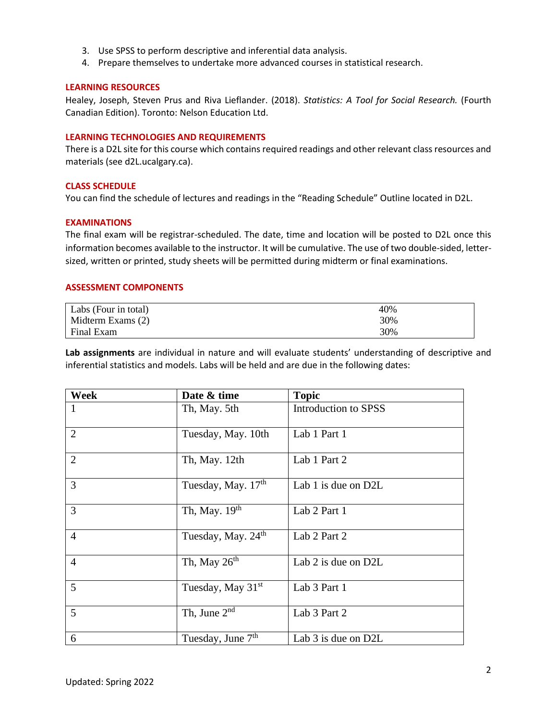- 3. Use SPSS to perform descriptive and inferential data analysis.
- 4. Prepare themselves to undertake more advanced courses in statistical research.

## **LEARNING RESOURCES**

Healey, Joseph, Steven Prus and Riva Lieflander. (2018). *Statistics: A Tool for Social Research.* (Fourth Canadian Edition). Toronto: Nelson Education Ltd.

#### **LEARNING TECHNOLOGIES AND REQUIREMENTS**

There is a D2L site for this course which contains required readings and other relevant class resources and materials (see d2L.ucalgary.ca).

## **CLASS SCHEDULE**

You can find the schedule of lectures and readings in the "Reading Schedule" Outline located in D2L.

## **EXAMINATIONS**

The final exam will be registrar-scheduled. The date, time and location will be posted to D2L once this information becomes available to the instructor. It will be cumulative. The use of two double-sided, lettersized, written or printed, study sheets will be permitted during midterm or final examinations.

#### **ASSESSMENT COMPONENTS**

| Labs (Four in total) | 40% |
|----------------------|-----|
| Midterm Exams (2)    | 30% |
| Final Exam           | 30% |

**Lab assignments** are individual in nature and will evaluate students' understanding of descriptive and inferential statistics and models. Labs will be held and are due in the following dates:

| Week           | Date & time                    | <b>Topic</b>         |
|----------------|--------------------------------|----------------------|
|                | Th, May. 5th                   | Introduction to SPSS |
| $\overline{2}$ | Tuesday, May. 10th             | Lab 1 Part 1         |
| $\overline{2}$ | Th, May. 12th                  | Lab 1 Part 2         |
| 3              | Tuesday, May. 17th             | Lab 1 is due on D2L  |
| 3              | Th, May. 19th                  | Lab 2 Part 1         |
| $\overline{4}$ | Tuesday, May. 24 <sup>th</sup> | Lab 2 Part 2         |
| $\overline{4}$ | Th, May $26th$                 | Lab 2 is due on D2L  |
| 5              | Tuesday, May 31 <sup>st</sup>  | Lab 3 Part 1         |
| 5              | Th, June $2nd$                 | Lab 3 Part 2         |
| 6              | Tuesday, June 7 <sup>th</sup>  | Lab 3 is due on D2L  |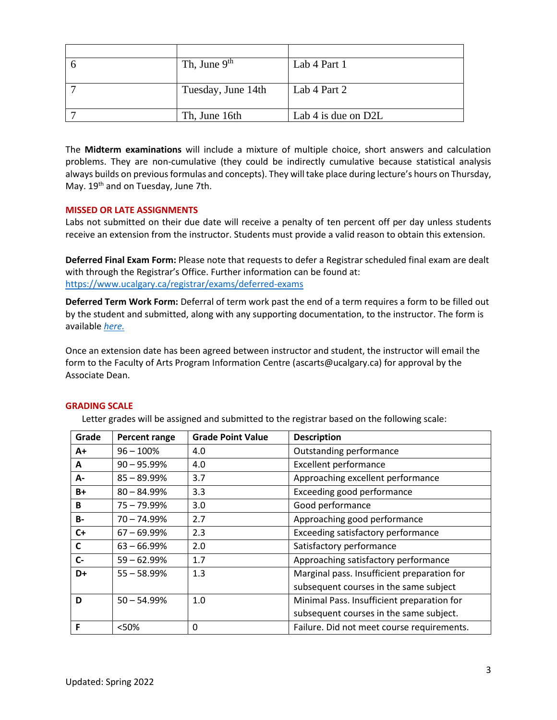| Th, June $9th$     | Lab 4 Part 1          |
|--------------------|-----------------------|
|                    |                       |
| Tuesday, June 14th | Lab 4 Part 2          |
|                    |                       |
| Th, June 16th      | Lab 4 is due on $D2L$ |

The **Midterm examinations** will include a mixture of multiple choice, short answers and calculation problems. They are non-cumulative (they could be indirectly cumulative because statistical analysis always builds on previous formulas and concepts). They will take place during lecture's hours on Thursday, May.  $19<sup>th</sup>$  and on Tuesday, June 7th.

# **MISSED OR LATE ASSIGNMENTS**

Labs not submitted on their due date will receive a penalty of ten percent off per day unless students receive an extension from the instructor. Students must provide a valid reason to obtain this extension.

**Deferred Final Exam Form:** Please note that requests to defer a Registrar scheduled final exam are dealt with through the Registrar's Office. Further information can be found at: <https://www.ucalgary.ca/registrar/exams/deferred-exams>

**Deferred Term Work Form:** Deferral of term work past the end of a term requires a form to be filled out by the student and submitted, along with any supporting documentation, to the instructor. The form is available *[here.](https://www.ucalgary.ca/registrar/student-centre/student-forms)*

Once an extension date has been agreed between instructor and student, the instructor will email the form to the Faculty of Arts Program Information Centre (ascarts@ucalgary.ca) for approval by the Associate Dean.

## **GRADING SCALE**

Letter grades will be assigned and submitted to the registrar based on the following scale:

| Grade     | Percent range  | <b>Grade Point Value</b> | <b>Description</b>                          |
|-----------|----------------|--------------------------|---------------------------------------------|
| A+        | $96 - 100\%$   | 4.0                      | Outstanding performance                     |
| A         | $90 - 95.99\%$ | 4.0                      | <b>Excellent performance</b>                |
| А-        | $85 - 89.99\%$ | 3.7                      | Approaching excellent performance           |
| $B+$      | $80 - 84.99%$  | 3.3                      | Exceeding good performance                  |
| B         | 75 - 79.99%    | 3.0                      | Good performance                            |
| <b>B-</b> | 70 - 74.99%    | 2.7                      | Approaching good performance                |
| $C+$      | $67 - 69.99%$  | 2.3                      | Exceeding satisfactory performance          |
| C         | $63 - 66.99%$  | 2.0                      | Satisfactory performance                    |
| $C-$      | $59 - 62.99%$  | 1.7                      | Approaching satisfactory performance        |
| D+        | $55 - 58.99%$  | 1.3                      | Marginal pass. Insufficient preparation for |
|           |                |                          | subsequent courses in the same subject      |
| D         | $50 - 54.99%$  | 1.0                      | Minimal Pass. Insufficient preparation for  |
|           |                |                          | subsequent courses in the same subject.     |
| F         | <50%           | 0                        | Failure. Did not meet course requirements.  |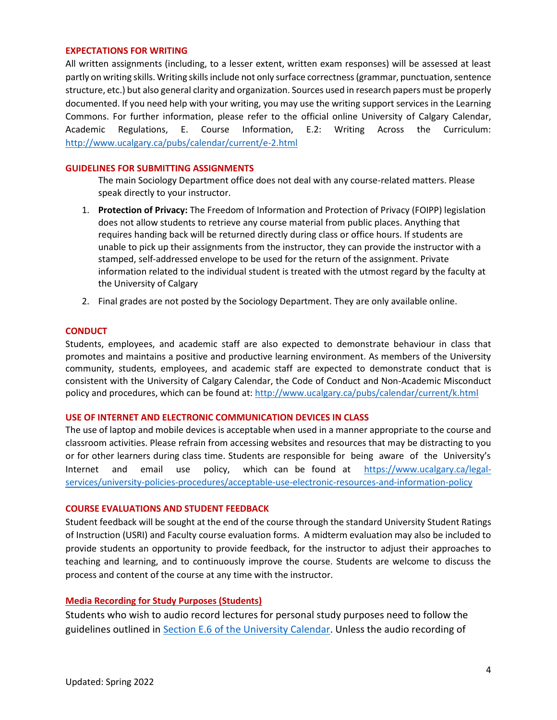#### **EXPECTATIONS FOR WRITING**

All written assignments (including, to a lesser extent, written exam responses) will be assessed at least partly on writing skills. Writing skills include not only surface correctness (grammar, punctuation, sentence structure, etc.) but also general clarity and organization. Sources used in research papers must be properly documented. If you need help with your writing, you may use the writing support services in the Learning Commons. For further information, please refer to the official online University of Calgary Calendar, Academic Regulations, E. Course Information, E.2: Writing Across the Curriculum: <http://www.ucalgary.ca/pubs/calendar/current/e-2.html>

## **GUIDELINES FOR SUBMITTING ASSIGNMENTS**

The main Sociology Department office does not deal with any course-related matters. Please speak directly to your instructor.

- 1. **Protection of Privacy:** The Freedom of Information and Protection of Privacy (FOIPP) legislation does not allow students to retrieve any course material from public places. Anything that requires handing back will be returned directly during class or office hours. If students are unable to pick up their assignments from the instructor, they can provide the instructor with a stamped, self-addressed envelope to be used for the return of the assignment. Private information related to the individual student is treated with the utmost regard by the faculty at the University of Calgary
- 2. Final grades are not posted by the Sociology Department. They are only available online.

## **CONDUCT**

Students, employees, and academic staff are also expected to demonstrate behaviour in class that promotes and maintains a positive and productive learning environment. As members of the University community, students, employees, and academic staff are expected to demonstrate conduct that is consistent with the University of Calgary Calendar, the Code of Conduct and Non-Academic Misconduct policy and procedures, which can be found at:<http://www.ucalgary.ca/pubs/calendar/current/k.html>

## **USE OF INTERNET AND ELECTRONIC COMMUNICATION DEVICES IN CLASS**

The use of laptop and mobile devices is acceptable when used in a manner appropriate to the course and classroom activities. Please refrain from accessing websites and resources that may be distracting to you or for other learners during class time. Students are responsible for being aware of the University's Internet and email use policy, which can be found at [https://www.ucalgary.ca/legal](https://www.ucalgary.ca/legal-services/university-policies-procedures/acceptable-use-electronic-resources-and-information-policy)[services/university-policies-procedures/acceptable-use-electronic-resources-and-information-policy](https://www.ucalgary.ca/legal-services/university-policies-procedures/acceptable-use-electronic-resources-and-information-policy)

## **COURSE EVALUATIONS AND STUDENT FEEDBACK**

Student feedback will be sought at the end of the course through the standard University Student Ratings of Instruction (USRI) and Faculty course evaluation forms. A midterm evaluation may also be included to provide students an opportunity to provide feedback, for the instructor to adjust their approaches to teaching and learning, and to continuously improve the course. Students are welcome to discuss the process and content of the course at any time with the instructor.

## **Media Recording for Study Purposes (Students)**

Students who wish to audio record lectures for personal study purposes need to follow the guidelines outlined in [Section E.6 of the University Calendar.](https://www.ucalgary.ca/pubs/calendar/current/e-6.html) Unless the audio recording of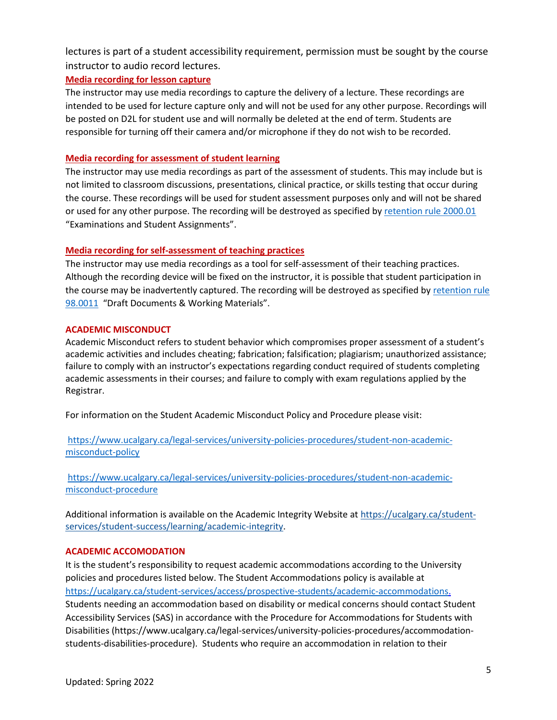lectures is part of a student accessibility requirement, permission must be sought by the course instructor to audio record lectures.

# **Media recording for lesson capture**

The instructor may use media recordings to capture the delivery of a lecture. These recordings are intended to be used for lecture capture only and will not be used for any other purpose. Recordings will be posted on D2L for student use and will normally be deleted at the end of term. Students are responsible for turning off their camera and/or microphone if they do not wish to be recorded.

# **Media recording for assessment of student learning**

The instructor may use media recordings as part of the assessment of students. This may include but is not limited to classroom discussions, presentations, clinical practice, or skills testing that occur during the course. These recordings will be used for student assessment purposes only and will not be shared or used for any other purpose. The recording will be destroyed as specified b[y retention rule 2000.01](https://asc.ucalgary.ca/marrs/examinations-and-assignments)  "Examinations and Student Assignments".

# **Media recording for self-assessment of teaching practices**

The instructor may use media recordings as a tool for self-assessment of their teaching practices. Although the recording device will be fixed on the instructor, it is possible that student participation in the course may be inadvertently captured. The recording will be destroyed as specified by [retention rule](https://asc.ucalgary.ca/marrs/draft-documents)  [98.0011](https://asc.ucalgary.ca/marrs/draft-documents) "Draft Documents & Working Materials".

# **ACADEMIC MISCONDUCT**

Academic Misconduct refers to student behavior which compromises proper assessment of a student's academic activities and includes cheating; fabrication; falsification; plagiarism; unauthorized assistance; failure to comply with an instructor's expectations regarding conduct required of students completing academic assessments in their courses; and failure to comply with exam regulations applied by the Registrar.

For information on the Student Academic Misconduct Policy and Procedure please visit:

[https://www.ucalgary.ca/legal-services/university-policies-procedures/student-non-academic](https://www.ucalgary.ca/legal-services/university-policies-procedures/student-non-academic-misconduct-policy)[misconduct-policy](https://www.ucalgary.ca/legal-services/university-policies-procedures/student-non-academic-misconduct-policy)

[https://www.ucalgary.ca/legal-services/university-policies-procedures/student-non-academic](https://www.ucalgary.ca/legal-services/university-policies-procedures/student-non-academic-misconduct-procedure)[misconduct-procedure](https://www.ucalgary.ca/legal-services/university-policies-procedures/student-non-academic-misconduct-procedure)

Additional information is available on the Academic Integrity Website at [https://ucalgary.ca/student](https://ucalgary.ca/student-services/student-success/learning/academic-integrity)[services/student-success/learning/academic-integrity.](https://ucalgary.ca/student-services/student-success/learning/academic-integrity)

# **ACADEMIC ACCOMODATION**

It is the student's responsibility to request academic accommodations according to the University policies and procedures listed below. The Student Accommodations policy is available at [https://ucalgary.ca/student-services/access/prospective-students/academic-accommodations.](https://ucalgary.ca/student-services/access/prospective-students/academic-accommodations) Students needing an accommodation based on disability or medical concerns should contact Student Accessibility Services (SAS) in accordance with the Procedure for Accommodations for Students with Disabilities (https://www.ucalgary.ca/legal-services/university-policies-procedures/accommodationstudents-disabilities-procedure). Students who require an accommodation in relation to their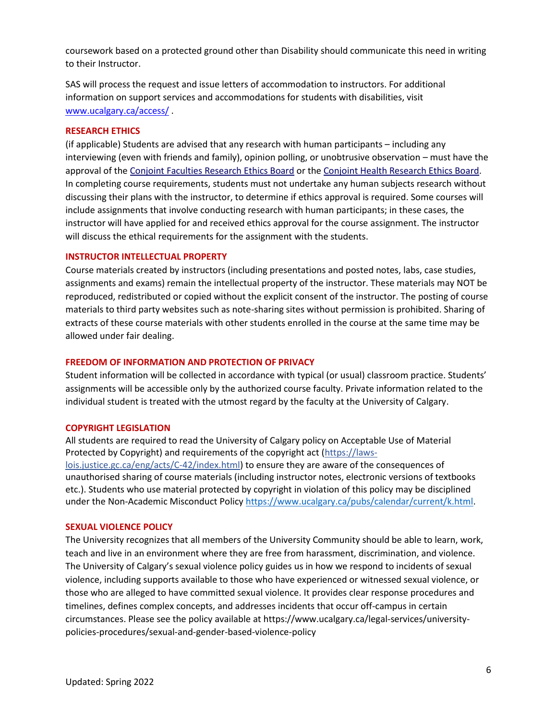coursework based on a protected ground other than Disability should communicate this need in writing to their Instructor.

SAS will process the request and issue letters of accommodation to instructors. For additional information on support services and accommodations for students with disabilities, visit [www.ucalgary.ca/access/](http://www.ucalgary.ca/access/) .

#### **RESEARCH ETHICS**

(if applicable) Students are advised that any research with human participants – including any interviewing (even with friends and family), opinion polling, or unobtrusive observation – must have the approval of the [Conjoint Faculties Research Ethics Board](https://research.ucalgary.ca/conduct-research/ethics-compliance/human-research-ethics/conjoint-faculties-research-ethics-board) or the [Conjoint Health Research Ethics Board.](https://research.ucalgary.ca/conduct-research/ethics-compliance/human-research-ethics/conjoint-health-research-ethics-board) In completing course requirements, students must not undertake any human subjects research without discussing their plans with the instructor, to determine if ethics approval is required. Some courses will include assignments that involve conducting research with human participants; in these cases, the instructor will have applied for and received ethics approval for the course assignment. The instructor will discuss the ethical requirements for the assignment with the students.

#### **INSTRUCTOR INTELLECTUAL PROPERTY**

Course materials created by instructors (including presentations and posted notes, labs, case studies, assignments and exams) remain the intellectual property of the instructor. These materials may NOT be reproduced, redistributed or copied without the explicit consent of the instructor. The posting of course materials to third party websites such as note-sharing sites without permission is prohibited. Sharing of extracts of these course materials with other students enrolled in the course at the same time may be allowed under fair dealing.

#### **FREEDOM OF INFORMATION AND PROTECTION OF PRIVACY**

Student information will be collected in accordance with typical (or usual) classroom practice. Students' assignments will be accessible only by the authorized course faculty. Private information related to the individual student is treated with the utmost regard by the faculty at the University of Calgary.

#### **COPYRIGHT LEGISLATION**

All students are required to read the University of Calgary policy on Acceptable Use of Material Protected by Copyright) and requirements of the copyright act (https://lawslois.justice.gc.ca/eng/acts/C-42/index.html) to ensure they are aware of the consequences of unauthorised sharing of course materials (including instructor notes, electronic versions of textbooks etc.). Students who use material protected by copyright in violation of this policy may be disciplined under the Non-Academic Misconduct Policy [https://www.ucalgary.ca/pubs/calendar/current/k.html.](https://www.ucalgary.ca/pubs/calendar/current/k.html)

#### **SEXUAL VIOLENCE POLICY**

The University recognizes that all members of the University Community should be able to learn, work, teach and live in an environment where they are free from harassment, discrimination, and violence. The University of Calgary's sexual violence policy guides us in how we respond to incidents of sexual violence, including supports available to those who have experienced or witnessed sexual violence, or those who are alleged to have committed sexual violence. It provides clear response procedures and timelines, defines complex concepts, and addresses incidents that occur off-campus in certain circumstances. Please see the policy available at https://www.ucalgary.ca/legal-services/universitypolicies-procedures/sexual-and-gender-based-violence-policy